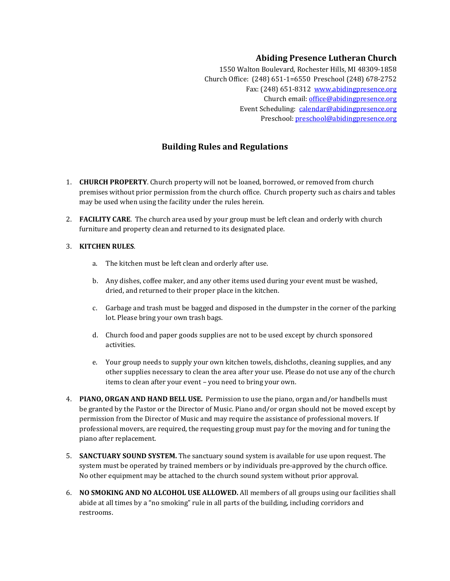## **Abiding Presence Lutheran Church**

1550 Walton Boulevard, Rochester Hills, MI 48309-1858 Church Office: (248) 651-1=6550 Preschool (248) 678-2752 Fax: (248) 651-8312 www.abidingpresence.org Church email: office@abidingpresence.org Event Scheduling: calendar@abidingpresence.org Preschool: preschool@abidingpresence.org

## **Building Rules and Regulations**

- 1. CHURCH PROPERTY. Church property will not be loaned, borrowed, or removed from church premises without prior permission from the church office. Church property such as chairs and tables may be used when using the facility under the rules herein.
- 2. **FACILITY CARE**. The church area used by your group must be left clean and orderly with church furniture and property clean and returned to its designated place.

## 3. **KITCHEN 
 RULES**.

- a. The kitchen must be left clean and orderly after use.
- b. Any dishes, coffee maker, and any other items used during your event must be washed, dried, and returned to their proper place in the kitchen.
- c. Garbage and trash must be bagged and disposed in the dumpster in the corner of the parking lot. Please bring your own trash bags.
- d. Church food and paper goods supplies are not to be used except by church sponsored activities.
- e. Your group needs to supply your own kitchen towels, dishcloths, cleaning supplies, and any other supplies necessary to clean the area after your use. Please do not use any of the church items to clean after your event - you need to bring your own.
- 4. **PIANO, ORGAN AND HAND BELL USE.** Permission to use the piano, organ and/or handbells must be granted by the Pastor or the Director of Music. Piano and/or organ should not be moved except by permission from the Director of Music and may require the assistance of professional movers. If professional movers, are required, the requesting group must pay for the moving and for tuning the piano after replacement.
- 5. **SANCTUARY SOUND SYSTEM.** The sanctuary sound system is available for use upon request. The system must be operated by trained members or by individuals pre-approved by the church office. No other equipment may be attached to the church sound system without prior approval.
- 6. NO SMOKING AND NO ALCOHOL USE ALLOWED. All members of all groups using our facilities shall abide at all times by a "no smoking" rule in all parts of the building, including corridors and restrooms.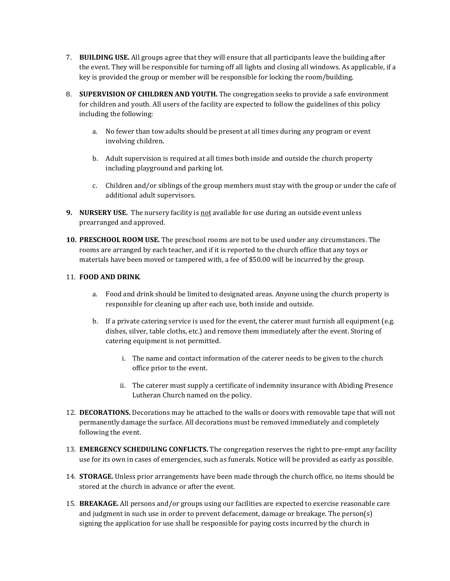- 7. **BUILDING USE.** All groups agree that they will ensure that all participants leave the building after the event. They will be responsible for turning off all lights and closing all windows. As applicable, if a key is provided the group or member will be responsible for locking the room/building.
- 8. **SUPERVISION OF CHILDREN AND YOUTH.** The congregation seeks to provide a safe environment for children and youth. All users of the facility are expected to follow the guidelines of this policy including the following:
	- a. No fewer than tow adults should be present at all times during any program or event involving children.
	- b. Adult supervision is required at all times both inside and outside the church property including playground and parking lot.
	- c. Children and/or siblings of the group members must stay with the group or under the cafe of additional adult supervisors.
- **9.** NURSERY USE. The nursery facility is not available for use during an outside event unless prearranged and approved.
- **10. PRESCHOOL ROOM USE.** The preschool rooms are not to be used under any circumstances. The rooms are arranged by each teacher, and if it is reported to the church office that any toys or materials have been moved or tampered with, a fee of \$50.00 will be incurred by the group.

## 11. **FOOD AND DRINK.**

- a. Food and drink should be limited to designated areas. Anyone using the church property is responsible for cleaning up after each use, both inside and outside.
- b. If a private catering service is used for the event, the caterer must furnish all equipment (e.g. dishes, silver, table cloths, etc.) and remove them immediately after the event. Storing of catering equipment is not permitted.
	- i. The name and contact information of the caterer needs to be given to the church office prior to the event.
	- ii. The caterer must supply a certificate of indemnity insurance with Abiding Presence Lutheran Church named on the policy.
- 12. DECORATIONS. Decorations may be attached to the walls or doors with removable tape that will not permanently damage the surface. All decorations must be removed immediately and completely following the event.
- 13. **EMERGENCY SCHEDULING CONFLICTS.** The congregation reserves the right to pre-empt any facility use for its own in cases of emergencies, such as funerals. Notice will be provided as early as possible.
- 14. **STORAGE.** Unless prior arrangements have been made through the church office, no items should be stored at the church in advance or after the event.
- 15. **BREAKAGE.** All persons and/or groups using our facilities are expected to exercise reasonable care and judgment in such use in order to prevent defacement, damage or breakage. The person(s) signing the application for use shall be responsible for paying costs incurred by the church in